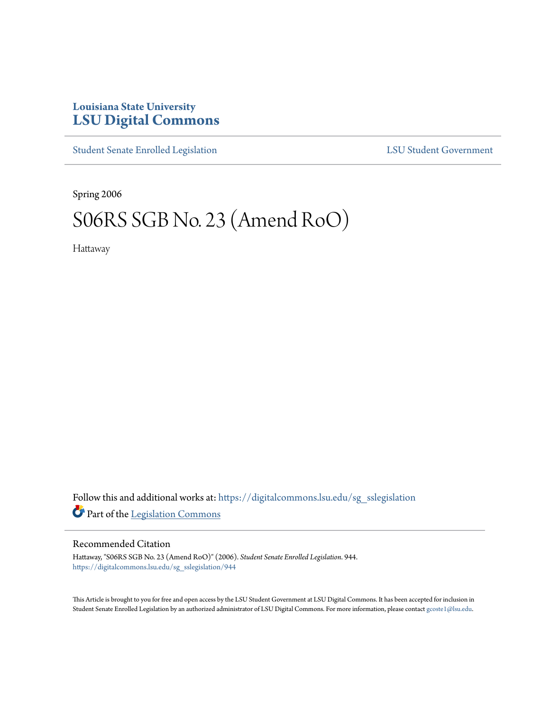# **Louisiana State University [LSU Digital Commons](https://digitalcommons.lsu.edu?utm_source=digitalcommons.lsu.edu%2Fsg_sslegislation%2F944&utm_medium=PDF&utm_campaign=PDFCoverPages)**

[Student Senate Enrolled Legislation](https://digitalcommons.lsu.edu/sg_sslegislation?utm_source=digitalcommons.lsu.edu%2Fsg_sslegislation%2F944&utm_medium=PDF&utm_campaign=PDFCoverPages) [LSU Student Government](https://digitalcommons.lsu.edu/sg?utm_source=digitalcommons.lsu.edu%2Fsg_sslegislation%2F944&utm_medium=PDF&utm_campaign=PDFCoverPages)

Spring 2006

# S06RS SGB No. 23 (Amend RoO)

Hattaway

Follow this and additional works at: [https://digitalcommons.lsu.edu/sg\\_sslegislation](https://digitalcommons.lsu.edu/sg_sslegislation?utm_source=digitalcommons.lsu.edu%2Fsg_sslegislation%2F944&utm_medium=PDF&utm_campaign=PDFCoverPages) Part of the [Legislation Commons](http://network.bepress.com/hgg/discipline/859?utm_source=digitalcommons.lsu.edu%2Fsg_sslegislation%2F944&utm_medium=PDF&utm_campaign=PDFCoverPages)

## Recommended Citation

Hattaway, "S06RS SGB No. 23 (Amend RoO)" (2006). *Student Senate Enrolled Legislation*. 944. [https://digitalcommons.lsu.edu/sg\\_sslegislation/944](https://digitalcommons.lsu.edu/sg_sslegislation/944?utm_source=digitalcommons.lsu.edu%2Fsg_sslegislation%2F944&utm_medium=PDF&utm_campaign=PDFCoverPages)

This Article is brought to you for free and open access by the LSU Student Government at LSU Digital Commons. It has been accepted for inclusion in Student Senate Enrolled Legislation by an authorized administrator of LSU Digital Commons. For more information, please contact [gcoste1@lsu.edu.](mailto:gcoste1@lsu.edu)